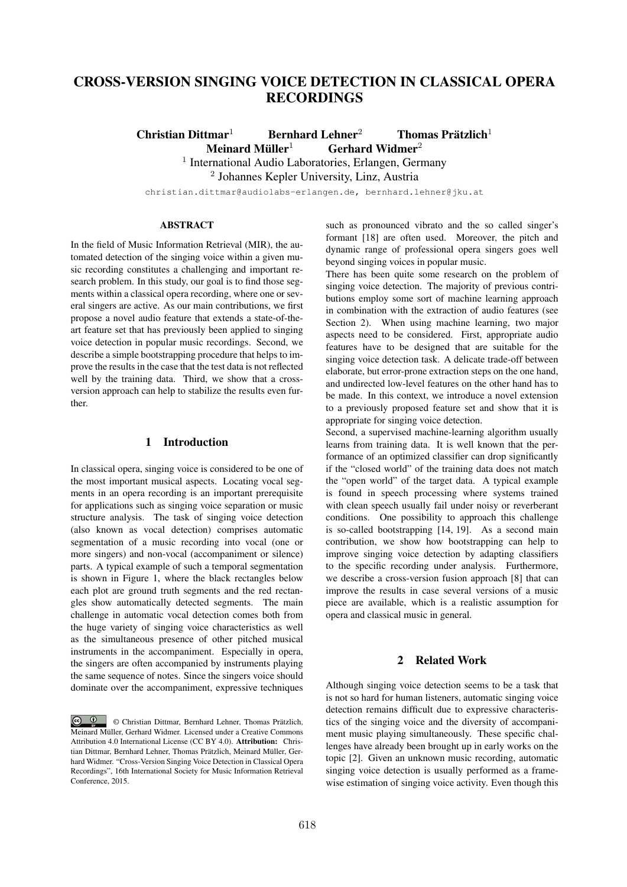# CROSS-VERSION SINGING VOICE DETECTION IN CLASSICAL OPERA RECORDINGS

Christian Dittmar<sup>1</sup> Bernhard Lehner<sup>2</sup> Thomas Prätzlich<sup>1</sup> Meinard Müller<sup>1</sup> Gerhard Widmer<sup>2</sup>

<sup>1</sup> International Audio Laboratories, Erlangen, Germany

<sup>2</sup> Johannes Kepler University, Linz, Austria

christian.dittmar@audiolabs-erlangen.de, bernhard.lehner@jku.at

# ABSTRACT

In the field of Music Information Retrieval (MIR), the automated detection of the singing voice within a given music recording constitutes a challenging and important research problem. In this study, our goal is to find those segments within a classical opera recording, where one or several singers are active. As our main contributions, we first propose a novel audio feature that extends a state-of-theart feature set that has previously been applied to singing voice detection in popular music recordings. Second, we describe a simple bootstrapping procedure that helps to improve the results in the case that the test data is not reflected well by the training data. Third, we show that a crossversion approach can help to stabilize the results even further.

# 1 Introduction

In classical opera, singing voice is considered to be one of the most important musical aspects. Locating vocal segments in an opera recording is an important prerequisite for applications such as singing voice separation or music structure analysis. The task of singing voice detection (also known as vocal detection) comprises automatic segmentation of a music recording into vocal (one or more singers) and non-vocal (accompaniment or silence) parts. A typical example of such a temporal segmentation is shown in Figure 1, where the black rectangles below each plot are ground truth segments and the red rectangles show automatically detected segments. The main challenge in automatic vocal detection comes both from the huge variety of singing voice characteristics as well as the simultaneous presence of other pitched musical instruments in the accompaniment. Especially in opera, the singers are often accompanied by instruments playing the same sequence of notes. Since the singers voice should dominate over the accompaniment, expressive techniques such as pronounced vibrato and the so called singer's formant [18] are often used. Moreover, the pitch and dynamic range of professional opera singers goes well beyond singing voices in popular music.

There has been quite some research on the problem of singing voice detection. The majority of previous contributions employ some sort of machine learning approach in combination with the extraction of audio features (see Section 2). When using machine learning, two major aspects need to be considered. First, appropriate audio features have to be designed that are suitable for the singing voice detection task. A delicate trade-off between elaborate, but error-prone extraction steps on the one hand, and undirected low-level features on the other hand has to be made. In this context, we introduce a novel extension to a previously proposed feature set and show that it is appropriate for singing voice detection.

Second, a supervised machine-learning algorithm usually learns from training data. It is well known that the performance of an optimized classifier can drop significantly if the "closed world" of the training data does not match the "open world" of the target data. A typical example is found in speech processing where systems trained with clean speech usually fail under noisy or reverberant conditions. One possibility to approach this challenge is so-called bootstrapping [14, 19]. As a second main contribution, we show how bootstrapping can help to improve singing voice detection by adapting classifiers to the specific recording under analysis. Furthermore, we describe a cross-version fusion approach [8] that can improve the results in case several versions of a music piece are available, which is a realistic assumption for opera and classical music in general.

# 2 Related Work

Although singing voice detection seems to be a task that is not so hard for human listeners, automatic singing voice detection remains difficult due to expressive characteristics of the singing voice and the diversity of accompaniment music playing simultaneously. These specific challenges have already been brought up in early works on the topic [2]. Given an unknown music recording, automatic singing voice detection is usually performed as a framewise estimation of singing voice activity. Even though this

 $\circ$   $\circ$ © Christian Dittmar, Bernhard Lehner, Thomas Prätzlich, Meinard Müller, Gerhard Widmer. Licensed under a Creative Commons Attribution 4.0 International License (CC BY 4.0). Attribution: Christian Dittmar, Bernhard Lehner, Thomas Prätzlich, Meinard Müller, Gerhard Widmer. "Cross-Version Singing Voice Detection in Classical Opera Recordings", 16th International Society for Music Information Retrieval Conference, 2015.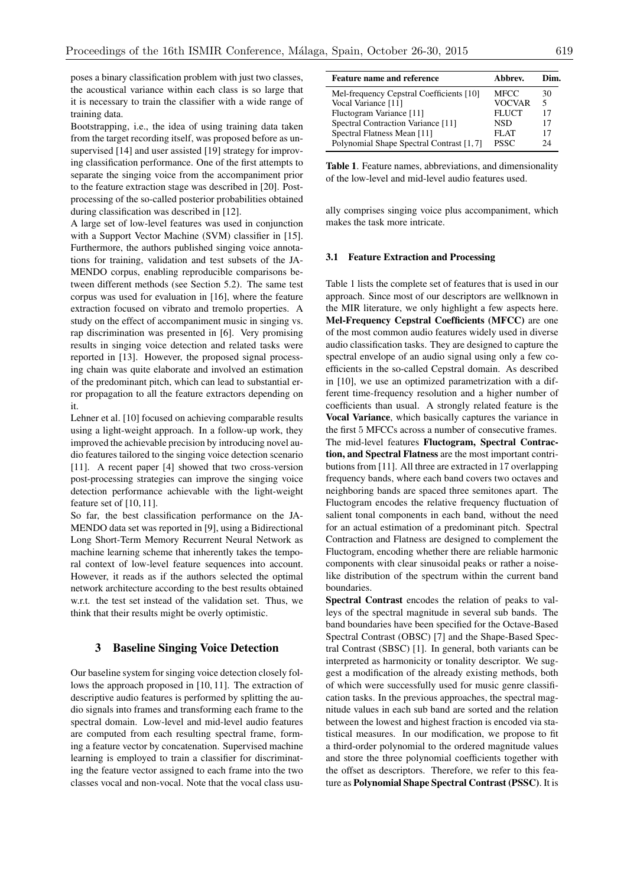poses a binary classification problem with just two classes, the acoustical variance within each class is so large that it is necessary to train the classifier with a wide range of training data.

Bootstrapping, i.e., the idea of using training data taken from the target recording itself, was proposed before as unsupervised [14] and user assisted [19] strategy for improving classification performance. One of the first attempts to separate the singing voice from the accompaniment prior to the feature extraction stage was described in [20]. Postprocessing of the so-called posterior probabilities obtained during classification was described in [12].

A large set of low-level features was used in conjunction with a Support Vector Machine (SVM) classifier in [15]. Furthermore, the authors published singing voice annotations for training, validation and test subsets of the JA-MENDO corpus, enabling reproducible comparisons between different methods (see Section 5.2). The same test corpus was used for evaluation in [16], where the feature extraction focused on vibrato and tremolo properties. A study on the effect of accompaniment music in singing vs. rap discrimination was presented in [6]. Very promising results in singing voice detection and related tasks were reported in [13]. However, the proposed signal processing chain was quite elaborate and involved an estimation of the predominant pitch, which can lead to substantial error propagation to all the feature extractors depending on it.

Lehner et al. [10] focused on achieving comparable results using a light-weight approach. In a follow-up work, they improved the achievable precision by introducing novel audio features tailored to the singing voice detection scenario [11]. A recent paper [4] showed that two cross-version post-processing strategies can improve the singing voice detection performance achievable with the light-weight feature set of [10, 11].

So far, the best classification performance on the JA-MENDO data set was reported in [9], using a Bidirectional Long Short-Term Memory Recurrent Neural Network as machine learning scheme that inherently takes the temporal context of low-level feature sequences into account. However, it reads as if the authors selected the optimal network architecture according to the best results obtained w.r.t. the test set instead of the validation set. Thus, we think that their results might be overly optimistic.

## 3 Baseline Singing Voice Detection

Our baseline system for singing voice detection closely follows the approach proposed in [10, 11]. The extraction of descriptive audio features is performed by splitting the audio signals into frames and transforming each frame to the spectral domain. Low-level and mid-level audio features are computed from each resulting spectral frame, forming a feature vector by concatenation. Supervised machine learning is employed to train a classifier for discriminating the feature vector assigned to each frame into the two classes vocal and non-vocal. Note that the vocal class usu-

| <b>Feature name and reference</b>        | Abbrev.       | Dim. |
|------------------------------------------|---------------|------|
| Mel-frequency Cepstral Coefficients [10] | MFCC          | 30   |
| Vocal Variance [11]                      | <b>VOCVAR</b> | 5    |
| Fluctogram Variance [11]                 | <b>FLUCT</b>  | 17   |
| Spectral Contraction Variance [11]       | NSD           | 17   |
| Spectral Flatness Mean [11]              | <b>FLAT</b>   | 17   |
| Polynomial Shape Spectral Contrast [1,7] | <b>PSSC</b>   | 24   |

Table 1. Feature names, abbreviations, and dimensionality of the low-level and mid-level audio features used.

ally comprises singing voice plus accompaniment, which makes the task more intricate.

#### 3.1 Feature Extraction and Processing

Table 1 lists the complete set of features that is used in our approach. Since most of our descriptors are wellknown in the MIR literature, we only highlight a few aspects here. Mel-Frequency Cepstral Coefficients (MFCC) are one of the most common audio features widely used in diverse audio classification tasks. They are designed to capture the spectral envelope of an audio signal using only a few coefficients in the so-called Cepstral domain. As described in [10], we use an optimized parametrization with a different time-frequency resolution and a higher number of coefficients than usual. A strongly related feature is the Vocal Variance, which basically captures the variance in the first 5 MFCCs across a number of consecutive frames. The mid-level features Fluctogram, Spectral Contraction, and Spectral Flatness are the most important contributions from [11]. All three are extracted in 17 overlapping frequency bands, where each band covers two octaves and neighboring bands are spaced three semitones apart. The Fluctogram encodes the relative frequency fluctuation of salient tonal components in each band, without the need for an actual estimation of a predominant pitch. Spectral Contraction and Flatness are designed to complement the Fluctogram, encoding whether there are reliable harmonic components with clear sinusoidal peaks or rather a noiselike distribution of the spectrum within the current band boundaries.

Spectral Contrast encodes the relation of peaks to valleys of the spectral magnitude in several sub bands. The band boundaries have been specified for the Octave-Based Spectral Contrast (OBSC) [7] and the Shape-Based Spectral Contrast (SBSC) [1]. In general, both variants can be interpreted as harmonicity or tonality descriptor. We suggest a modification of the already existing methods, both of which were successfully used for music genre classification tasks. In the previous approaches, the spectral magnitude values in each sub band are sorted and the relation between the lowest and highest fraction is encoded via statistical measures. In our modification, we propose to fit a third-order polynomial to the ordered magnitude values and store the three polynomial coefficients together with the offset as descriptors. Therefore, we refer to this feature as Polynomial Shape Spectral Contrast (PSSC). It is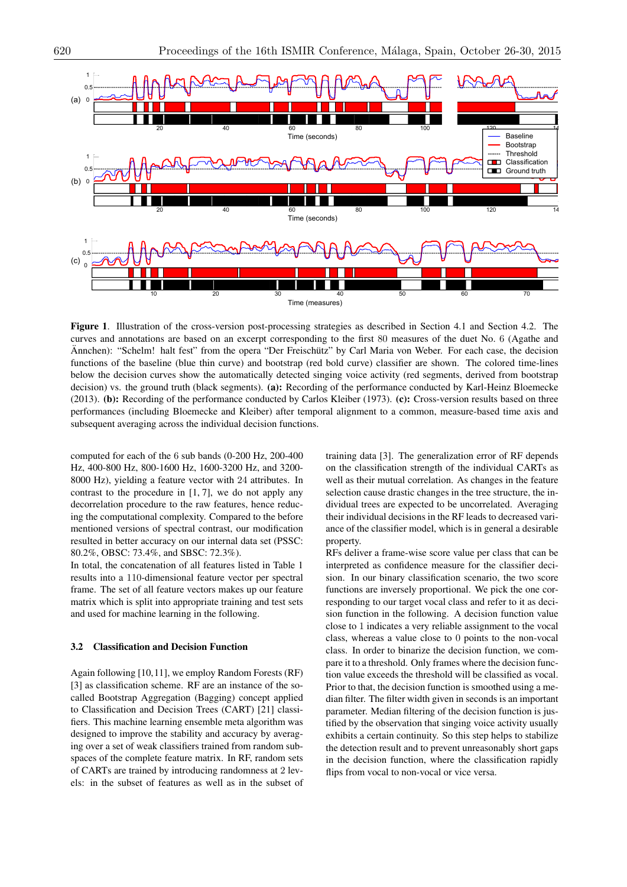

Figure 1. Illustration of the cross-version post-processing strategies as described in Section 4.1 and Section 4.2. The curves and annotations are based on an excerpt corresponding to the first 80 measures of the duet No. 6 (Agathe and Annchen): "Schelm! halt fest" from the opera "Der Freischütz" by Carl Maria von Weber. For each case, the decision functions of the baseline (blue thin curve) and bootstrap (red bold curve) classifier are shown. The colored time-lines below the decision curves show the automatically detected singing voice activity (red segments, derived from bootstrap decision) vs. the ground truth (black segments). (a): Recording of the performance conducted by Karl-Heinz Bloemecke (2013). (b): Recording of the performance conducted by Carlos Kleiber (1973). (c): Cross-version results based on three performances (including Bloemecke and Kleiber) after temporal alignment to a common, measure-based time axis and subsequent averaging across the individual decision functions.

computed for each of the 6 sub bands (0-200 Hz, 200-400 Hz, 400-800 Hz, 800-1600 Hz, 1600-3200 Hz, and 3200- 8000 Hz), yielding a feature vector with 24 attributes. In contrast to the procedure in [1, 7], we do not apply any decorrelation procedure to the raw features, hence reducing the computational complexity. Compared to the before mentioned versions of spectral contrast, our modification resulted in better accuracy on our internal data set (PSSC: 80.2%, OBSC: 73.4%, and SBSC: 72.3%).

In total, the concatenation of all features listed in Table 1 results into a 110-dimensional feature vector per spectral frame. The set of all feature vectors makes up our feature matrix which is split into appropriate training and test sets and used for machine learning in the following.

#### 3.2 Classification and Decision Function

Again following [10,11], we employ Random Forests (RF) [3] as classification scheme. RF are an instance of the socalled Bootstrap Aggregation (Bagging) concept applied to Classification and Decision Trees (CART) [21] classifiers. This machine learning ensemble meta algorithm was designed to improve the stability and accuracy by averaging over a set of weak classifiers trained from random subspaces of the complete feature matrix. In RF, random sets of CARTs are trained by introducing randomness at 2 levels: in the subset of features as well as in the subset of

training data [3]. The generalization error of RF depends on the classification strength of the individual CARTs as well as their mutual correlation. As changes in the feature selection cause drastic changes in the tree structure, the individual trees are expected to be uncorrelated. Averaging their individual decisions in the RF leads to decreased variance of the classifier model, which is in general a desirable property.

RFs deliver a frame-wise score value per class that can be interpreted as confidence measure for the classifier decision. In our binary classification scenario, the two score functions are inversely proportional. We pick the one corresponding to our target vocal class and refer to it as decision function in the following. A decision function value close to 1 indicates a very reliable assignment to the vocal class, whereas a value close to 0 points to the non-vocal class. In order to binarize the decision function, we compare it to a threshold. Only frames where the decision function value exceeds the threshold will be classified as vocal. Prior to that, the decision function is smoothed using a median filter. The filter width given in seconds is an important parameter. Median filtering of the decision function is justified by the observation that singing voice activity usually exhibits a certain continuity. So this step helps to stabilize the detection result and to prevent unreasonably short gaps in the decision function, where the classification rapidly flips from vocal to non-vocal or vice versa.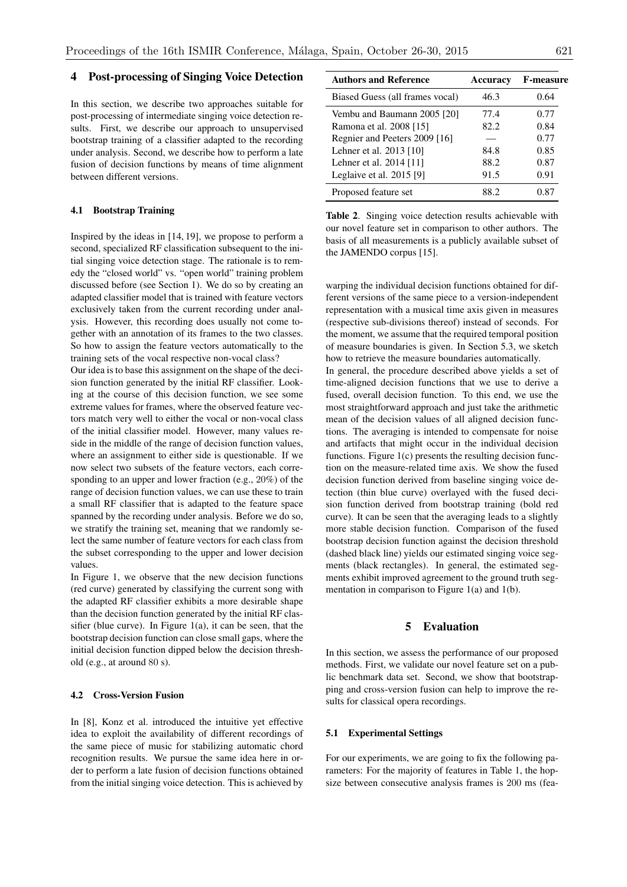# 4 Post-processing of Singing Voice Detection

In this section, we describe two approaches suitable for post-processing of intermediate singing voice detection results. First, we describe our approach to unsupervised bootstrap training of a classifier adapted to the recording under analysis. Second, we describe how to perform a late fusion of decision functions by means of time alignment between different versions.

### 4.1 Bootstrap Training

Inspired by the ideas in [14, 19], we propose to perform a second, specialized RF classification subsequent to the initial singing voice detection stage. The rationale is to remedy the "closed world" vs. "open world" training problem discussed before (see Section 1). We do so by creating an adapted classifier model that is trained with feature vectors exclusively taken from the current recording under analysis. However, this recording does usually not come together with an annotation of its frames to the two classes. So how to assign the feature vectors automatically to the training sets of the vocal respective non-vocal class?

Our idea is to base this assignment on the shape of the decision function generated by the initial RF classifier. Looking at the course of this decision function, we see some extreme values for frames, where the observed feature vectors match very well to either the vocal or non-vocal class of the initial classifier model. However, many values reside in the middle of the range of decision function values, where an assignment to either side is questionable. If we now select two subsets of the feature vectors, each corresponding to an upper and lower fraction (e.g., 20%) of the range of decision function values, we can use these to train a small RF classifier that is adapted to the feature space spanned by the recording under analysis. Before we do so, we stratify the training set, meaning that we randomly select the same number of feature vectors for each class from the subset corresponding to the upper and lower decision values.

In Figure 1, we observe that the new decision functions (red curve) generated by classifying the current song with the adapted RF classifier exhibits a more desirable shape than the decision function generated by the initial RF classifier (blue curve). In Figure 1(a), it can be seen, that the bootstrap decision function can close small gaps, where the initial decision function dipped below the decision threshold (e.g., at around 80 s).

#### 4.2 Cross-Version Fusion

In [8], Konz et al. introduced the intuitive yet effective idea to exploit the availability of different recordings of the same piece of music for stabilizing automatic chord recognition results. We pursue the same idea here in order to perform a late fusion of decision functions obtained from the initial singing voice detection. This is achieved by

| <b>Authors and Reference</b>    | <b>Accuracy</b> | <b>F-measure</b> |
|---------------------------------|-----------------|------------------|
| Biased Guess (all frames vocal) | 46.3            | 0.64             |
| Vembu and Baumann 2005 [20]     | 77.4            | 0.77             |
| Ramona et al. 2008 [15]         | 82.2            | 0.84             |
| Regnier and Peeters 2009 [16]   |                 | 0.77             |
| Lehner et al. 2013 [10]         | 84.8            | 0.85             |
| Lehner et al. $2014$ [11]       | 88.2            | 0.87             |
| Leglaive et al. 2015 [9]        | 91.5            | 0.91             |
| Proposed feature set            | 88.2            | 0.87             |

Table 2. Singing voice detection results achievable with our novel feature set in comparison to other authors. The basis of all measurements is a publicly available subset of the JAMENDO corpus [15].

warping the individual decision functions obtained for different versions of the same piece to a version-independent representation with a musical time axis given in measures (respective sub-divisions thereof) instead of seconds. For the moment, we assume that the required temporal position of measure boundaries is given. In Section 5.3, we sketch how to retrieve the measure boundaries automatically.

In general, the procedure described above yields a set of time-aligned decision functions that we use to derive a fused, overall decision function. To this end, we use the most straightforward approach and just take the arithmetic mean of the decision values of all aligned decision functions. The averaging is intended to compensate for noise and artifacts that might occur in the individual decision functions. Figure 1(c) presents the resulting decision function on the measure-related time axis. We show the fused decision function derived from baseline singing voice detection (thin blue curve) overlayed with the fused decision function derived from bootstrap training (bold red curve). It can be seen that the averaging leads to a slightly more stable decision function. Comparison of the fused bootstrap decision function against the decision threshold (dashed black line) yields our estimated singing voice segments (black rectangles). In general, the estimated segments exhibit improved agreement to the ground truth segmentation in comparison to Figure 1(a) and 1(b).

### 5 Evaluation

In this section, we assess the performance of our proposed methods. First, we validate our novel feature set on a public benchmark data set. Second, we show that bootstrapping and cross-version fusion can help to improve the results for classical opera recordings.

#### 5.1 Experimental Settings

For our experiments, we are going to fix the following parameters: For the majority of features in Table 1, the hopsize between consecutive analysis frames is 200 ms (fea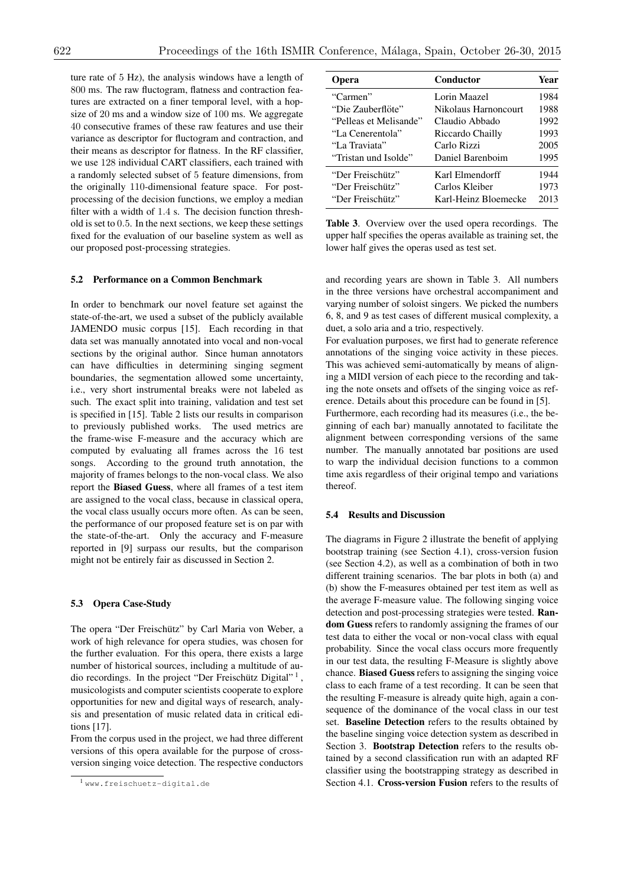ture rate of 5 Hz), the analysis windows have a length of 800 ms. The raw fluctogram, flatness and contraction features are extracted on a finer temporal level, with a hopsize of 20 ms and a window size of 100 ms. We aggregate 40 consecutive frames of these raw features and use their variance as descriptor for fluctogram and contraction, and their means as descriptor for flatness. In the RF classifier, we use 128 individual CART classifiers, each trained with a randomly selected subset of 5 feature dimensions, from the originally 110-dimensional feature space. For postprocessing of the decision functions, we employ a median filter with a width of 1*.*4 s. The decision function threshold is set to 0*.*5. In the next sections, we keep these settings fixed for the evaluation of our baseline system as well as our proposed post-processing strategies.

#### 5.2 Performance on a Common Benchmark

In order to benchmark our novel feature set against the state-of-the-art, we used a subset of the publicly available JAMENDO music corpus [15]. Each recording in that data set was manually annotated into vocal and non-vocal sections by the original author. Since human annotators can have difficulties in determining singing segment boundaries, the segmentation allowed some uncertainty, i.e., very short instrumental breaks were not labeled as such. The exact split into training, validation and test set is specified in [15]. Table 2 lists our results in comparison to previously published works. The used metrics are the frame-wise F-measure and the accuracy which are computed by evaluating all frames across the 16 test songs. According to the ground truth annotation, the majority of frames belongs to the non-vocal class. We also report the Biased Guess, where all frames of a test item are assigned to the vocal class, because in classical opera, the vocal class usually occurs more often. As can be seen, the performance of our proposed feature set is on par with the state-of-the-art. Only the accuracy and F-measure reported in [9] surpass our results, but the comparison might not be entirely fair as discussed in Section 2.

#### 5.3 Opera Case-Study

The opera "Der Freischütz" by Carl Maria von Weber, a work of high relevance for opera studies, was chosen for the further evaluation. For this opera, there exists a large number of historical sources, including a multitude of audio recordings. In the project "Der Freischütz Digital"<sup>1</sup>, musicologists and computer scientists cooperate to explore opportunities for new and digital ways of research, analysis and presentation of music related data in critical editions [17].

From the corpus used in the project, we had three different versions of this opera available for the purpose of crossversion singing voice detection. The respective conductors

| <b>Opera</b>           | Conductor            | Year |
|------------------------|----------------------|------|
| "Carmen"               | Lorin Maazel         | 1984 |
| "Die Zauberflöte"      | Nikolaus Harnoncourt | 1988 |
| "Pelleas et Melisande" | Claudio Abbado       | 1992 |
| "La Cenerentola"       | Riccardo Chailly     | 1993 |
| "La Traviata"          | Carlo Rizzi          | 2005 |
| "Tristan und Isolde"   | Daniel Barenboim     | 1995 |
| "Der Freischütz"       | Karl Elmendorff      | 1944 |
| "Der Freischütz"       | Carlos Kleiber       | 1973 |
| "Der Freischütz"       | Karl-Heinz Bloemecke | 2013 |

Table 3. Overview over the used opera recordings. The upper half specifies the operas available as training set, the lower half gives the operas used as test set.

and recording years are shown in Table 3. All numbers in the three versions have orchestral accompaniment and varying number of soloist singers. We picked the numbers 6, 8, and 9 as test cases of different musical complexity, a duet, a solo aria and a trio, respectively.

For evaluation purposes, we first had to generate reference annotations of the singing voice activity in these pieces. This was achieved semi-automatically by means of aligning a MIDI version of each piece to the recording and taking the note onsets and offsets of the singing voice as reference. Details about this procedure can be found in [5]. Furthermore, each recording had its measures (i.e., the beginning of each bar) manually annotated to facilitate the

alignment between corresponding versions of the same number. The manually annotated bar positions are used to warp the individual decision functions to a common time axis regardless of their original tempo and variations thereof.

### 5.4 Results and Discussion

The diagrams in Figure 2 illustrate the benefit of applying bootstrap training (see Section 4.1), cross-version fusion (see Section 4.2), as well as a combination of both in two different training scenarios. The bar plots in both (a) and (b) show the F-measures obtained per test item as well as the average F-measure value. The following singing voice detection and post-processing strategies were tested. Random Guess refers to randomly assigning the frames of our test data to either the vocal or non-vocal class with equal probability. Since the vocal class occurs more frequently in our test data, the resulting F-Measure is slightly above chance. Biased Guess refers to assigning the singing voice class to each frame of a test recording. It can be seen that the resulting F-measure is already quite high, again a consequence of the dominance of the vocal class in our test set. Baseline Detection refers to the results obtained by the baseline singing voice detection system as described in Section 3. Bootstrap Detection refers to the results obtained by a second classification run with an adapted RF classifier using the bootstrapping strategy as described in Section 4.1. Cross-version Fusion refers to the results of

<sup>1</sup> www.freischuetz-digital.de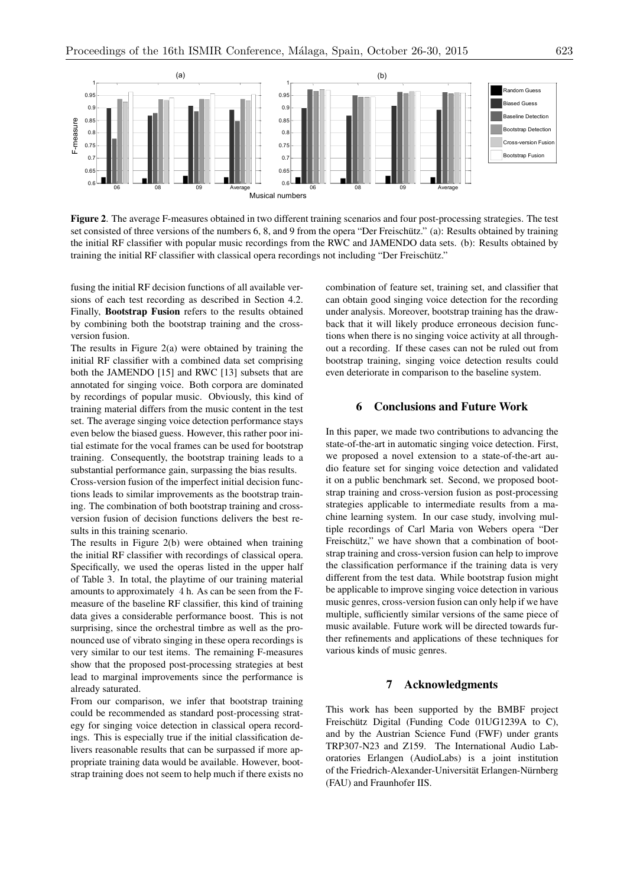

Figure 2. The average F-measures obtained in two different training scenarios and four post-processing strategies. The test set consisted of three versions of the numbers 6, 8, and 9 from the opera "Der Freischütz." (a): Results obtained by training the initial RF classifier with popular music recordings from the RWC and JAMENDO data sets. (b): Results obtained by training the initial RF classifier with classical opera recordings not including "Der Freischütz."

fusing the initial RF decision functions of all available versions of each test recording as described in Section 4.2. Finally, Bootstrap Fusion refers to the results obtained by combining both the bootstrap training and the crossversion fusion.

The results in Figure 2(a) were obtained by training the initial RF classifier with a combined data set comprising both the JAMENDO [15] and RWC [13] subsets that are annotated for singing voice. Both corpora are dominated by recordings of popular music. Obviously, this kind of training material differs from the music content in the test set. The average singing voice detection performance stays even below the biased guess. However, this rather poor initial estimate for the vocal frames can be used for bootstrap training. Consequently, the bootstrap training leads to a substantial performance gain, surpassing the bias results.

Cross-version fusion of the imperfect initial decision functions leads to similar improvements as the bootstrap training. The combination of both bootstrap training and crossversion fusion of decision functions delivers the best results in this training scenario.

The results in Figure 2(b) were obtained when training the initial RF classifier with recordings of classical opera. Specifically, we used the operas listed in the upper half of Table 3. In total, the playtime of our training material amounts to approximately 4 h. As can be seen from the Fmeasure of the baseline RF classifier, this kind of training data gives a considerable performance boost. This is not surprising, since the orchestral timbre as well as the pronounced use of vibrato singing in these opera recordings is very similar to our test items. The remaining F-measures show that the proposed post-processing strategies at best lead to marginal improvements since the performance is already saturated.

From our comparison, we infer that bootstrap training could be recommended as standard post-processing strategy for singing voice detection in classical opera recordings. This is especially true if the initial classification delivers reasonable results that can be surpassed if more appropriate training data would be available. However, bootstrap training does not seem to help much if there exists no combination of feature set, training set, and classifier that can obtain good singing voice detection for the recording under analysis. Moreover, bootstrap training has the drawback that it will likely produce erroneous decision functions when there is no singing voice activity at all throughout a recording. If these cases can not be ruled out from bootstrap training, singing voice detection results could even deteriorate in comparison to the baseline system.

# 6 Conclusions and Future Work

In this paper, we made two contributions to advancing the state-of-the-art in automatic singing voice detection. First, we proposed a novel extension to a state-of-the-art audio feature set for singing voice detection and validated it on a public benchmark set. Second, we proposed bootstrap training and cross-version fusion as post-processing strategies applicable to intermediate results from a machine learning system. In our case study, involving multiple recordings of Carl Maria von Webers opera "Der Freischütz," we have shown that a combination of bootstrap training and cross-version fusion can help to improve the classification performance if the training data is very different from the test data. While bootstrap fusion might be applicable to improve singing voice detection in various music genres, cross-version fusion can only help if we have multiple, sufficiently similar versions of the same piece of music available. Future work will be directed towards further refinements and applications of these techniques for various kinds of music genres.

### 7 Acknowledgments

This work has been supported by the BMBF project Freischütz Digital (Funding Code 01UG1239A to C), and by the Austrian Science Fund (FWF) under grants TRP307-N23 and Z159. The International Audio Laboratories Erlangen (AudioLabs) is a joint institution of the Friedrich-Alexander-Universität Erlangen-Nürnberg (FAU) and Fraunhofer IIS.